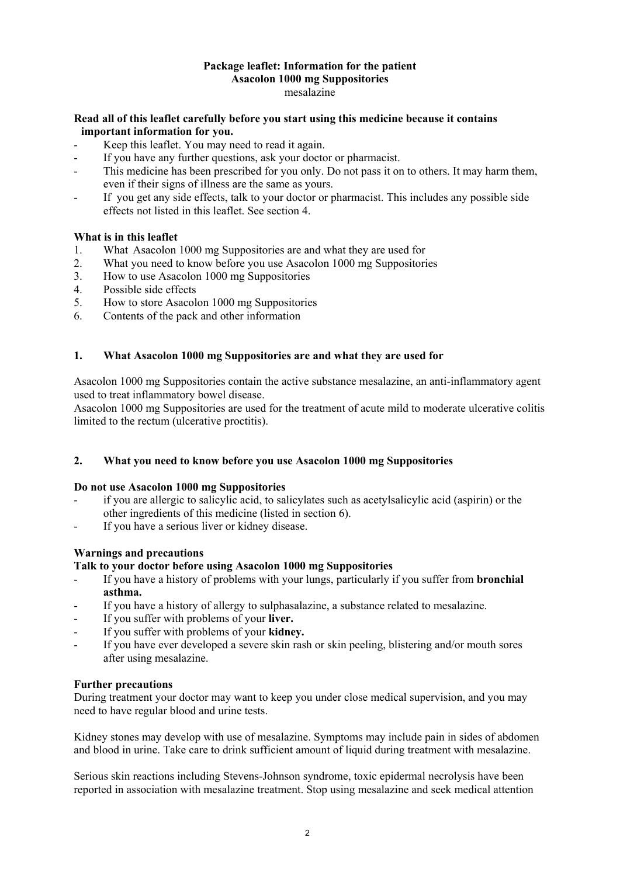#### **Package leaflet: Information for the patient Asacolon 1000 mg Suppositories**  mesalazine

## **Read all of this leaflet carefully before you start using this medicine because it contains important information for you.**

- Keep this leaflet. You may need to read it again.
- If you have any further questions, ask your doctor or pharmacist.
- This medicine has been prescribed for you only. Do not pass it on to others. It may harm them, even if their signs of illness are the same as yours.
- If you get any side effects, talk to your doctor or pharmacist. This includes any possible side effects not listed in this leaflet. See section 4.

## **What is in this leaflet**

- 1. What Asacolon 1000 mg Suppositories are and what they are used for
- 2. What you need to know before you use Asacolon 1000 mg Suppositories
- 3. How to use Asacolon 1000 mg Suppositories
- 4. Possible side effects
- 5. How to store Asacolon 1000 mg Suppositories
- 6. Contents of the pack and other information

## **1. What Asacolon 1000 mg Suppositories are and what they are used for**

Asacolon 1000 mg Suppositories contain the active substance mesalazine, an anti-inflammatory agent used to treat inflammatory bowel disease.

Asacolon 1000 mg Suppositories are used for the treatment of acute mild to moderate ulcerative colitis limited to the rectum (ulcerative proctitis).

### **2. What you need to know before you use Asacolon 1000 mg Suppositories**

### **Do not use Asacolon 1000 mg Suppositories**

- if you are allergic to salicylic acid, to salicylates such as acetylsalicylic acid (aspirin) or the other ingredients of this medicine (listed in section 6).
- If you have a serious liver or kidney disease.

## **Warnings and precautions**

### **Talk to your doctor before using Asacolon 1000 mg Suppositories**

- If you have a history of problems with your lungs, particularly if you suffer from **bronchial asthma.**
- If you have a history of allergy to sulphasalazine, a substance related to mesalazine.
- If you suffer with problems of your **liver.**
- If you suffer with problems of your **kidney.**
- If you have ever developed a severe skin rash or skin peeling, blistering and/or mouth sores after using mesalazine.

### **Further precautions**

During treatment your doctor may want to keep you under close medical supervision, and you may need to have regular blood and urine tests.

Kidney stones may develop with use of mesalazine. Symptoms may include pain in sides of abdomen and blood in urine. Take care to drink sufficient amount of liquid during treatment with mesalazine.

Serious skin reactions including Stevens-Johnson syndrome, toxic epidermal necrolysis have been reported in association with mesalazine treatment. Stop using mesalazine and seek medical attention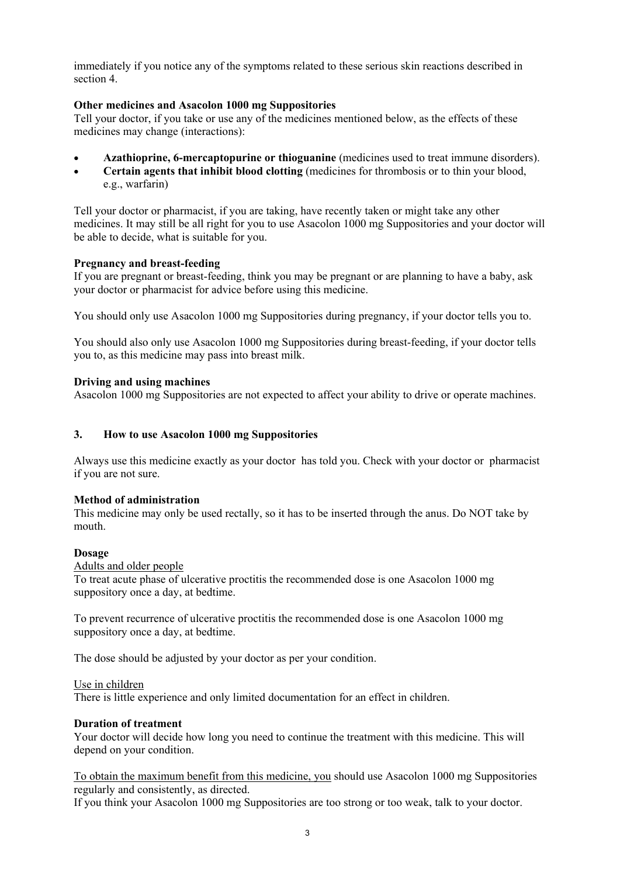immediately if you notice any of the symptoms related to these serious skin reactions described in section 4.

## **Other medicines and Asacolon 1000 mg Suppositories**

Tell your doctor, if you take or use any of the medicines mentioned below, as the effects of these medicines may change (interactions):

- **Azathioprine, 6-mercaptopurine or thioguanine** (medicines used to treat immune disorders).
- **Certain agents that inhibit blood clotting** (medicines for thrombosis or to thin your blood, e.g., warfarin)

Tell your doctor or pharmacist, if you are taking, have recently taken or might take any other medicines. It may still be all right for you to use Asacolon 1000 mg Suppositories and your doctor will be able to decide, what is suitable for you.

### **Pregnancy and breast-feeding**

If you are pregnant or breast-feeding, think you may be pregnant or are planning to have a baby, ask your doctor or pharmacist for advice before using this medicine.

You should only use Asacolon 1000 mg Suppositories during pregnancy, if your doctor tells you to.

You should also only use Asacolon 1000 mg Suppositories during breast-feeding, if your doctor tells you to, as this medicine may pass into breast milk.

## **Driving and using machines**

Asacolon 1000 mg Suppositories are not expected to affect your ability to drive or operate machines.

## **3. How to use Asacolon 1000 mg Suppositories**

Always use this medicine exactly as your doctor has told you. Check with your doctor or pharmacist if you are not sure.

### **Method of administration**

This medicine may only be used rectally, so it has to be inserted through the anus. Do NOT take by mouth.

### **Dosage**

Adults and older people

To treat acute phase of ulcerative proctitis the recommended dose is one Asacolon 1000 mg suppository once a day, at bedtime.

To prevent recurrence of ulcerative proctitis the recommended dose is one Asacolon 1000 mg suppository once a day, at bedtime.

The dose should be adjusted by your doctor as per your condition.

### Use in children

There is little experience and only limited documentation for an effect in children.

### **Duration of treatment**

Your doctor will decide how long you need to continue the treatment with this medicine. This will depend on your condition.

To obtain the maximum benefit from this medicine, you should use Asacolon 1000 mg Suppositories regularly and consistently, as directed.

If you think your Asacolon 1000 mg Suppositories are too strong or too weak, talk to your doctor.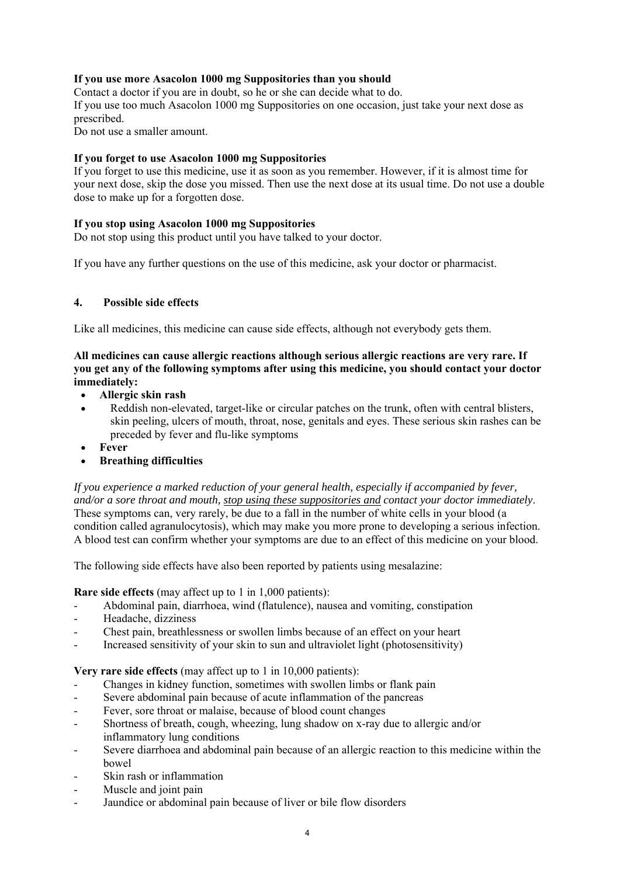# **If you use more Asacolon 1000 mg Suppositories than you should**

Contact a doctor if you are in doubt, so he or she can decide what to do.

If you use too much Asacolon 1000 mg Suppositories on one occasion, just take your next dose as prescribed.

Do not use a smaller amount.

### **If you forget to use Asacolon 1000 mg Suppositories**

If you forget to use this medicine, use it as soon as you remember. However, if it is almost time for your next dose, skip the dose you missed. Then use the next dose at its usual time. Do not use a double dose to make up for a forgotten dose.

## **If you stop using Asacolon 1000 mg Suppositories**

Do not stop using this product until you have talked to your doctor.

If you have any further questions on the use of this medicine, ask your doctor or pharmacist.

## **4. Possible side effects**

Like all medicines, this medicine can cause side effects, although not everybody gets them.

## **All medicines can cause allergic reactions although serious allergic reactions are very rare. If you get any of the following symptoms after using this medicine, you should contact your doctor immediately:**

- **Allergic skin rash**
- Reddish non-elevated, target-like or circular patches on the trunk, often with central blisters, skin peeling, ulcers of mouth, throat, nose, genitals and eyes. These serious skin rashes can be preceded by fever and flu-like symptoms
- **Fever**
- **Breathing difficulties**

*If you experience a marked reduction of your general health, especially if accompanied by fever, and/or a sore throat and mouth, stop using these suppositories and contact your doctor immediately*. These symptoms can, very rarely, be due to a fall in the number of white cells in your blood (a condition called agranulocytosis), which may make you more prone to developing a serious infection. A blood test can confirm whether your symptoms are due to an effect of this medicine on your blood.

The following side effects have also been reported by patients using mesalazine:

**Rare side effects** (may affect up to 1 in 1,000 patients):

- Abdominal pain, diarrhoea, wind (flatulence), nausea and vomiting, constipation
- Headache, dizziness
- Chest pain, breathlessness or swollen limbs because of an effect on your heart
- Increased sensitivity of your skin to sun and ultraviolet light (photosensitivity)

**Very rare side effects** (may affect up to 1 in 10,000 patients):

- Changes in kidney function, sometimes with swollen limbs or flank pain
- Severe abdominal pain because of acute inflammation of the pancreas
- Fever, sore throat or malaise, because of blood count changes
- Shortness of breath, cough, wheezing, lung shadow on x-ray due to allergic and/or inflammatory lung conditions
- Severe diarrhoea and abdominal pain because of an allergic reaction to this medicine within the bowel
- Skin rash or inflammation
- Muscle and joint pain
- Jaundice or abdominal pain because of liver or bile flow disorders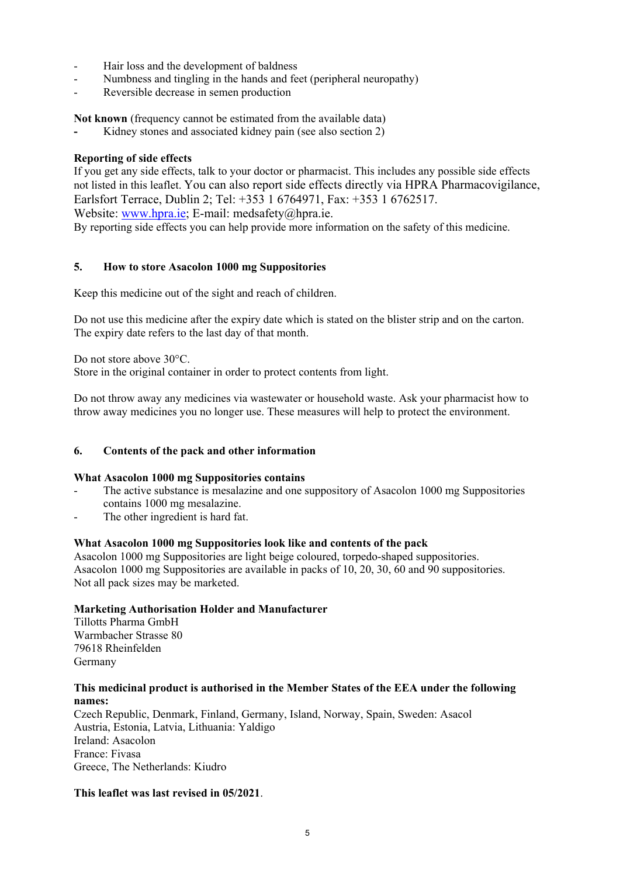- Hair loss and the development of baldness
- Numbness and tingling in the hands and feet (peripheral neuropathy)
- Reversible decrease in semen production

**Not known** (frequency cannot be estimated from the available data)

Kidney stones and associated kidney pain (see also section 2)

## **Reporting of side effects**

If you get any side effects, talk to your doctor or pharmacist. This includes any possible side effects not listed in this leaflet. You can also report side effects directly via HPRA Pharmacovigilance, Earlsfort Terrace, Dublin 2; Tel: +353 1 6764971, Fax: +353 1 6762517. Website: www.hpra.ie; E-mail: medsafety@hpra.ie.

By reporting side effects you can help provide more information on the safety of this medicine.

## **5. How to store Asacolon 1000 mg Suppositories**

Keep this medicine out of the sight and reach of children.

Do not use this medicine after the expiry date which is stated on the blister strip and on the carton. The expiry date refers to the last day of that month.

Do not store above 30°C.

Store in the original container in order to protect contents from light.

Do not throw away any medicines via wastewater or household waste. Ask your pharmacist how to throw away medicines you no longer use. These measures will help to protect the environment.

### **6. Contents of the pack and other information**

### **What Asacolon 1000 mg Suppositories contains**

- The active substance is mesalazine and one suppository of Asacolon 1000 mg Suppositories contains 1000 mg mesalazine.
- The other ingredient is hard fat.

### **What Asacolon 1000 mg Suppositories look like and contents of the pack**

Asacolon 1000 mg Suppositories are light beige coloured, torpedo-shaped suppositories. Asacolon 1000 mg Suppositories are available in packs of 10, 20, 30, 60 and 90 suppositories. Not all pack sizes may be marketed.

### **Marketing Authorisation Holder and Manufacturer**

Tillotts Pharma GmbH Warmbacher Strasse 80 79618 Rheinfelden Germany

## **This medicinal product is authorised in the Member States of the EEA under the following names:**

Czech Republic, Denmark, Finland, Germany, Island, Norway, Spain, Sweden: Asacol Austria, Estonia, Latvia, Lithuania: Yaldigo Ireland: Asacolon France: Fivasa Greece, The Netherlands: Kiudro

## **This leaflet was last revised in 05/2021**.